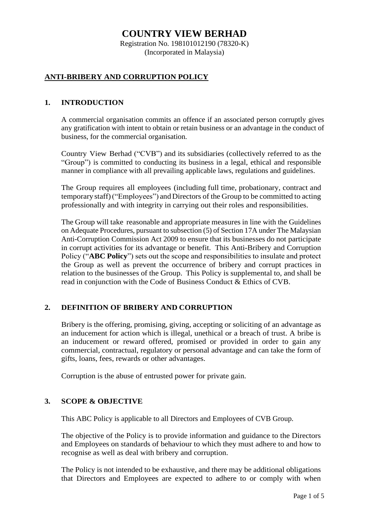# **COUNTRY VIEW BERHAD**

Registration No. 198101012190 (78320-K) (Incorporated in Malaysia)

# **ANTI-BRIBERY AND CORRUPTION POLICY**

## **1. INTRODUCTION**

A commercial organisation commits an offence if an associated person corruptly gives any gratification with intent to obtain or retain business or an advantage in the conduct of business, for the commercial organisation.

Country View Berhad ("CVB") and its subsidiaries (collectively referred to as the "Group") is committed to conducting its business in a legal, ethical and responsible manner in compliance with all prevailing applicable laws, regulations and guidelines.

The Group requires all employees (including full time, probationary, contract and temporary staff)("Employees") andDirectors of the Group to be committed to acting professionally and with integrity in carrying out their roles and responsibilities.

The Group will take reasonable and appropriate measures in line with the Guidelines on Adequate Procedures, pursuant to subsection (5) of Section 17A under The Malaysian Anti-Corruption Commission Act 2009 to ensure that its businesses do not participate in corrupt activities for its advantage or benefit. This Anti-Bribery and Corruption Policy ("**ABC Policy**") sets out the scope and responsibilities to insulate and protect the Group as well as prevent the occurrence of bribery and corrupt practices in relation to the businesses of the Group. This Policy is supplemental to, and shall be read in conjunction with the Code of Business Conduct & Ethics of CVB.

## **2. DEFINITION OF BRIBERY AND CORRUPTION**

Bribery is the offering, promising, giving, accepting or soliciting of an advantage as an inducement for action which is illegal, unethical or a breach of trust. A bribe is an inducement or reward offered, promised or provided in order to gain any commercial, contractual, regulatory or personal advantage and can take the form of gifts, loans, fees, rewards or other advantages.

Corruption is the abuse of entrusted power for private gain.

## **3. SCOPE & OBJECTIVE**

This ABC Policy is applicable to all Directors and Employees of CVB Group.

The objective of the Policy is to provide information and guidance to the Directors and Employees on standards of behaviour to which they must adhere to and how to recognise as well as deal with bribery and corruption.

The Policy is not intended to be exhaustive, and there may be additional obligations that Directors and Employees are expected to adhere to or comply with when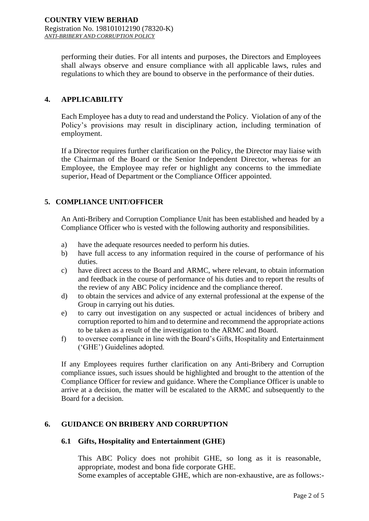performing their duties. For all intents and purposes, the Directors and Employees shall always observe and ensure compliance with all applicable laws, rules and regulations to which they are bound to observe in the performance of their duties.

#### **4. APPLICABILITY**

Each Employee has a duty to read and understand the Policy. Violation of any of the Policy's provisions may result in disciplinary action, including termination of employment.

If a Director requires further clarification on the Policy, the Director may liaise with the Chairman of the Board or the Senior Independent Director, whereas for an Employee, the Employee may refer or highlight any concerns to the immediate superior, Head of Department or the Compliance Officer appointed.

## **5. COMPLIANCE UNIT/OFFICER**

An Anti-Bribery and Corruption Compliance Unit has been established and headed by a Compliance Officer who is vested with the following authority and responsibilities.

- a) have the adequate resources needed to perform his duties.
- b) have full access to any information required in the course of performance of his duties.
- c) have direct access to the Board and ARMC, where relevant, to obtain information and feedback in the course of performance of his duties and to report the results of the review of any ABC Policy incidence and the compliance thereof.
- d) to obtain the services and advice of any external professional at the expense of the Group in carrying out his duties.
- e) to carry out investigation on any suspected or actual incidences of bribery and corruption reported to him and to determine and recommend the appropriate actions to be taken as a result of the investigation to the ARMC and Board.
- f) to oversee compliance in line with the Board's Gifts, Hospitality and Entertainment ('GHE') Guidelines adopted.

If any Employees requires further clarification on any Anti-Bribery and Corruption compliance issues, such issues should be highlighted and brought to the attention of the Compliance Officer for review and guidance. Where the Compliance Officer is unable to arrive at a decision, the matter will be escalated to the ARMC and subsequently to the Board for a decision.

#### **6. GUIDANCE ON BRIBERY AND CORRUPTION**

#### **6.1 Gifts, Hospitality and Entertainment (GHE)**

This ABC Policy does not prohibit GHE, so long as it is reasonable, appropriate, modest and bona fide corporate GHE.

Some examples of acceptable GHE, which are non-exhaustive, are as follows:-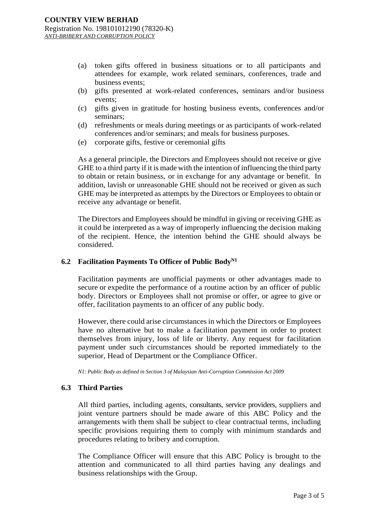- (a) token gifts offered in business situations or to all participants and attendees for example, work related seminars, conferences, trade and business events;
- (b) gifts presented at work-related conferences, seminars and/or business events;
- (c) gifts given in gratitude for hosting business events, conferences and/or seminars;
- (d) refreshments or meals during meetings or as participants of work-related conferences and/or seminars; and meals for business purposes.
- (e) corporate gifts, festive or ceremonial gifts

As a general principle, the Directors and Employees should not receive or give GHE to a third party if it is made with the intention of influencing the third party to obtain or retain business, or in exchange for any advantage or benefit. In addition, lavish or unreasonable GHE should not be received or given as such GHE may be interpreted as attempts by the Directors or Employees to obtain or receive any advantage or benefit.

The Directors and Employees should be mindful in giving or receiving GHE as it could be interpreted as a way of improperly influencing the decision making of the recipient. Hence, the intention behind the GHE should always be considered.

#### **6.2 Facilitation Payments To Officer of Public BodyN1**

Facilitation payments are unofficial payments or other advantages made to secure or expedite the performance of a routine action by an officer of public body. Directors or Employees shall not promise or offer, or agree to give or offer, facilitation payments to an officer of any public body.

However, there could arise circumstances in which the Directors or Employees have no alternative but to make a facilitation payment in order to protect themselves from injury, loss of life or liberty. Any request for facilitation payment under such circumstances should be reported immediately to the superior, Head of Department or the Compliance Officer.

*N1: Public Body as defined in Section 3 of Malaysian Anti-Corruption Commission Act 2009*

#### **6.3 Third Parties**

All third parties, including agents, consultants, service providers, suppliers and joint venture partners should be made aware of this ABC Policy and the arrangements with them shall be subject to clear contractual terms, including specific provisions requiring them to comply with minimum standards and procedures relating to bribery and corruption.

The Compliance Officer will ensure that this ABC Policy is brought to the attention and communicated to all third parties having any dealings and business relationships with the Group.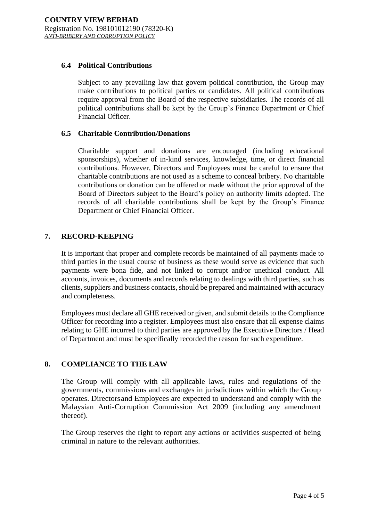#### **6.4 Political Contributions**

Subject to any prevailing law that govern political contribution, the Group may make contributions to political parties or candidates. All political contributions require approval from the Board of the respective subsidiaries. The records of all political contributions shall be kept by the Group's Finance Department or Chief Financial Officer.

#### **6.5 Charitable Contribution/Donations**

Charitable support and donations are encouraged (including educational sponsorships), whether of in-kind services, knowledge, time, or direct financial contributions. However, Directors and Employees must be careful to ensure that charitable contributions are not used as a scheme to conceal bribery. No charitable contributions or donation can be offered or made without the prior approval of the Board of Directors subject to the Board's policy on authority limits adopted. The records of all charitable contributions shall be kept by the Group's Finance Department or Chief Financial Officer.

#### **7. RECORD-KEEPING**

It is important that proper and complete records be maintained of all payments made to third parties in the usual course of business as these would serve as evidence that such payments were bona fide, and not linked to corrupt and/or unethical conduct. All accounts, invoices, documents and records relating to dealings with third parties, such as clients, suppliers and business contacts, should be prepared and maintained with accuracy and completeness.

Employees must declare all GHE received or given, and submit details to the Compliance Officer for recording into a register. Employees must also ensure that all expense claims relating to GHE incurred to third parties are approved by the Executive Directors / Head of Department and must be specifically recorded the reason for such expenditure.

## **8. COMPLIANCE TO THE LAW**

The Group will comply with all applicable laws, rules and regulations of the governments, commissions and exchanges in jurisdictions within which the Group operates. Directorsand Employees are expected to understand and comply with the Malaysian Anti-Corruption Commission Act 2009 (including any amendment thereof).

The Group reserves the right to report any actions or activities suspected of being criminal in nature to the relevant authorities.